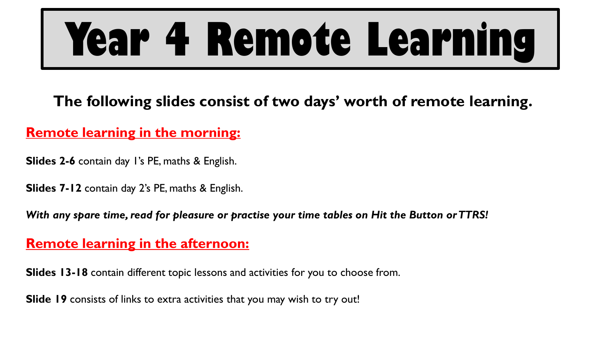# **Year 4 Remote Learning**

**The following slides consist of two days' worth of remote learning.**

### **Remote learning in the morning:**

**Slides 2-6** contain day 1's PE, maths & English.

**Slides 7-12** contain day 2's PE, maths & English.

*With any spare time, read for pleasure or practise your time tables on Hit the Button or TTRS!*

### **Remote learning in the afternoon:**

**Slides 13-18** contain different topic lessons and activities for you to choose from.

**Slide 19** consists of links to extra activities that you may wish to try out!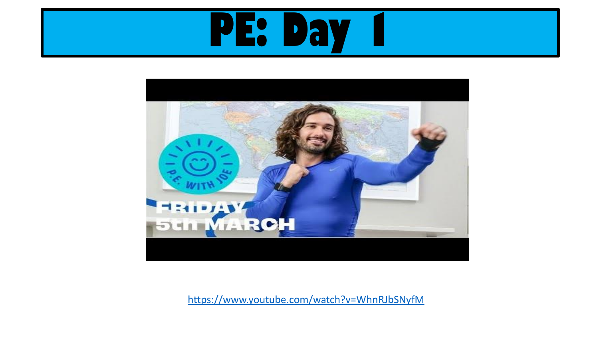



https://www.youtube.com/watch?v=WhnRJbSNyfM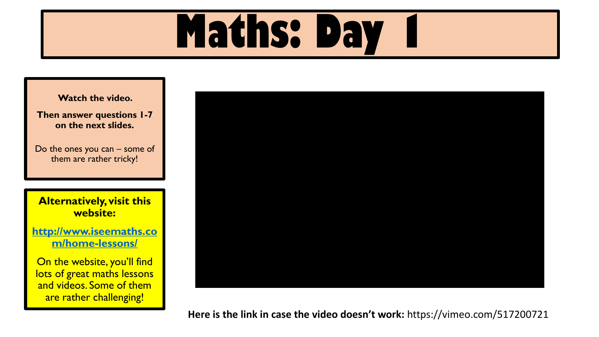## **Maths: Day**

**Watch the video.** 

**Then answer questions 1-7 on the next slides.**

Do the ones you can – some of them are rather tricky!

**Alternatively, visit this website:**

**[http://www.iseemaths.co](http://www.iseemaths.com/home-lessons/) m/home-lessons/**

On the website, you'll find lots of great maths lessons and videos. Some of them are rather challenging!



**Here is the link in case the video doesn't work:** https://vimeo.com/517200721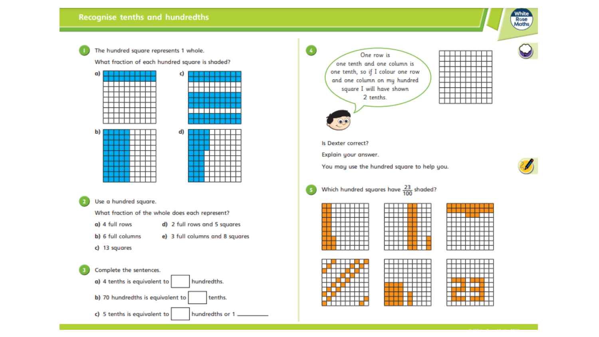

The hundred square represents 1 whole.

What fraction of each hundred square is shaded?



#### Use a hundred square.

What fraction of the whole does each represent?

- a) 4 full rows d) 2 full rows and 5 squares
- b) 6 full columns e) 3 full columns and 8 squares
- c) 13 squares



One row is one tenth and one column is one tenth, so if I colour one row and one column on my hundred square I will have shown 2 tenths.



#### Is Dexter correct?

5

Explain your answer.

You may use the hundred square to help you.



### Which hundred squares have  $\frac{23}{100}$  shaded?



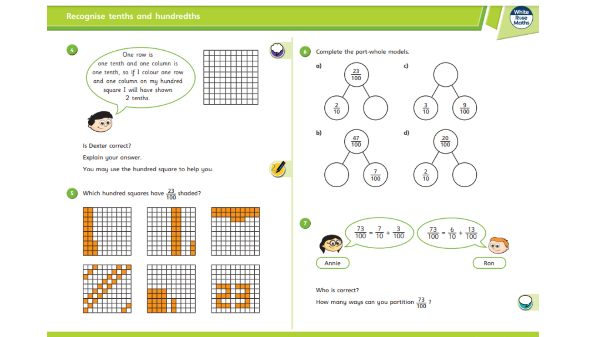$\overline{a}$ 



 $\frac{9}{100}$ 

Ron

 $\frac{20}{100}$ 



How many ways can you partition  $\frac{73}{100}$  ?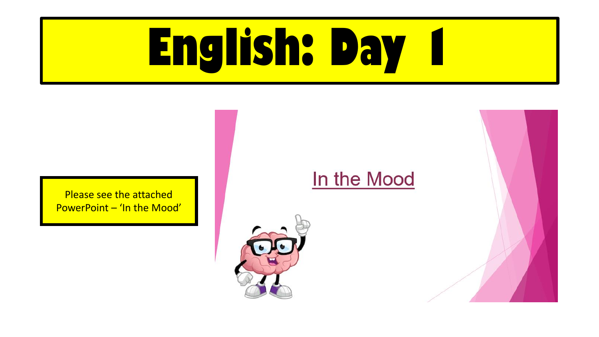# **English: Day 1**

Please see the attached PowerPoint – 'In the Mood'

### In the Mood



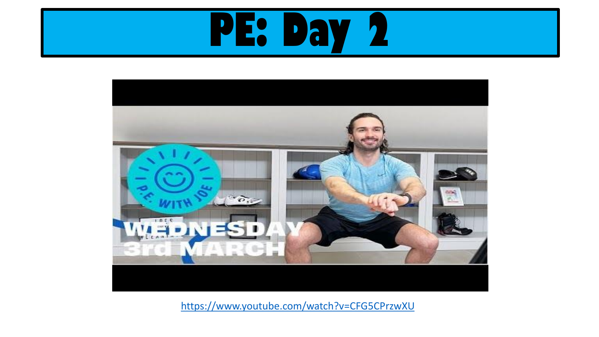



https://www.youtube.com/watch?v=CFG5CPrzwXU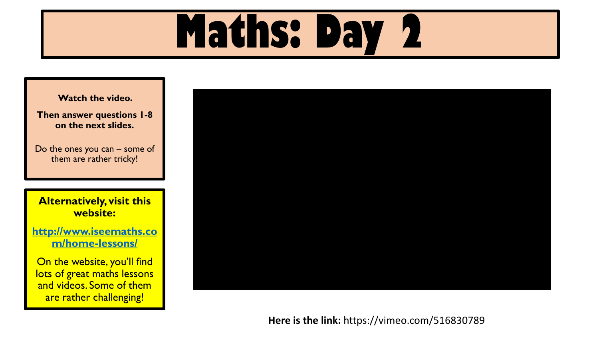## **Maths: Day 2**

**Watch the video.** 

**Then answer questions 1-8 on the next slides.**

Do the ones you can – some of them are rather tricky!

**Alternatively, visit this website:**

**[http://www.iseemaths.co](http://www.iseemaths.com/home-lessons/) m/home-lessons/**

On the website, you'll find lots of great maths lessons and videos. Some of them are rather challenging!



**Here is the link:** https://vimeo.com/516830789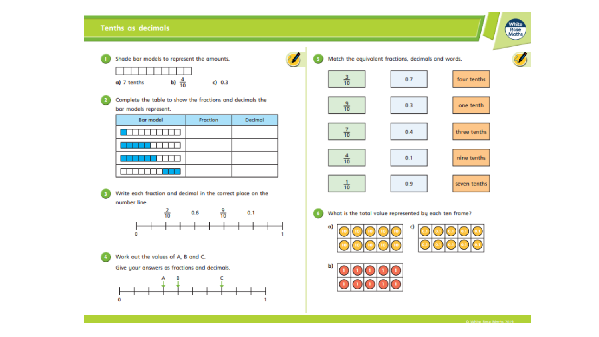#### **Tenths as decimals**



b)  $\frac{4}{10}$ a) 7 tenths

Complete the table to show the fractions and decimals the bar models represent.

 $c) 0.3$ 

| <b>Bar model</b> | Fraction | Decimal |
|------------------|----------|---------|
|                  |          |         |
|                  |          |         |
|                  |          |         |
|                  |          |         |

Write each fraction and decimal in the correct place on the number line.



Work out the values of A, B and C.

Give your answers as fractions and decimals.



Match the equivalent fractions, decimals and words.  $\frac{3}{10}$  $0.7$ four tenths  $\frac{9}{10}$  $0.3$ one tenth  $0.4$ three tenths  $\overline{10}$ 4  $0.1$ nine tenths  $\frac{1}{10}$  $\frac{1}{10}$  $0.9$ seven tenths



What is the total value represented by each ten frame?







White<br>Rose<br>Moths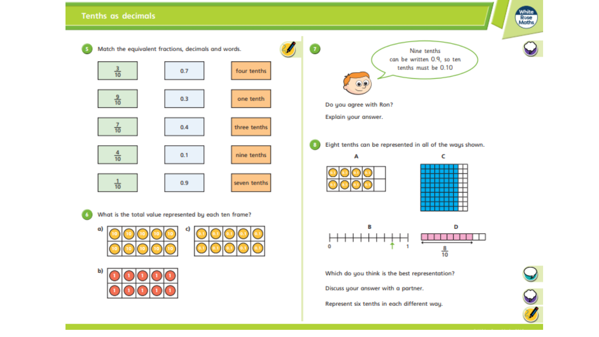#### **Tenths as decimals**





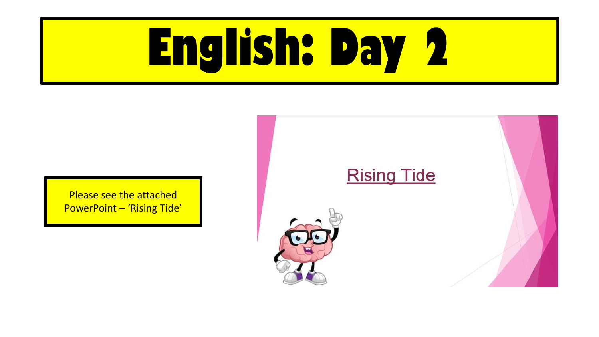# **English: Day 2**





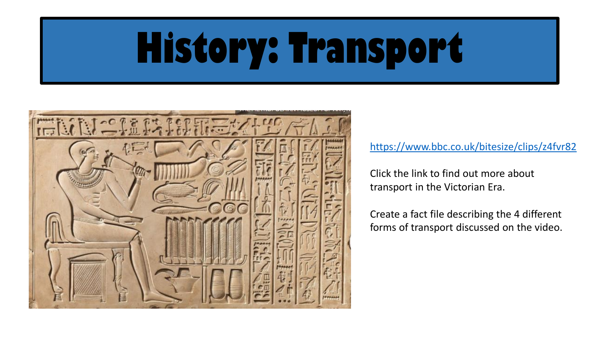## **History: Transport**



[https://www.bbc.co.uk/bitesize/clips/z4fvr82](https://www.youtube.com/watch?v=b1lKwZTtzIY)

Click the link to find out more about transport in the Victorian Era.

Create a fact file describing the 4 different forms of transport discussed on the video.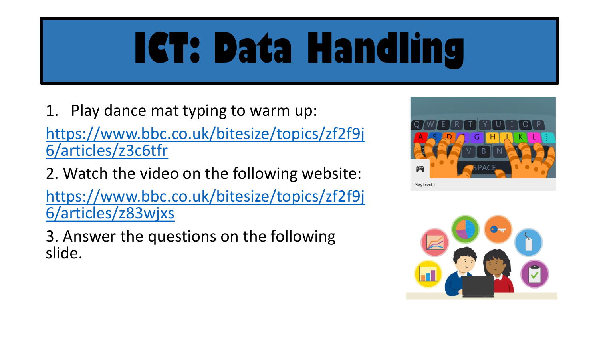### **ICT: Data Handling**

1. Play dance mat typing to warm up: [https://www.bbc.co.uk/bitesize/topics/zf2f9j](https://www.bbc.co.uk/bitesize/topics/zf2f9j6/articles/z3c6tfr) 6/articles/z3c6tfr

2. Watch the video on the following website: [https://www.bbc.co.uk/bitesize/topics/zf2f9j](https://www.bbc.co.uk/bitesize/topics/zf2f9j6/articles/z83wjxs) 6/articles/z83wjxs

3. Answer the questions on the following slide.



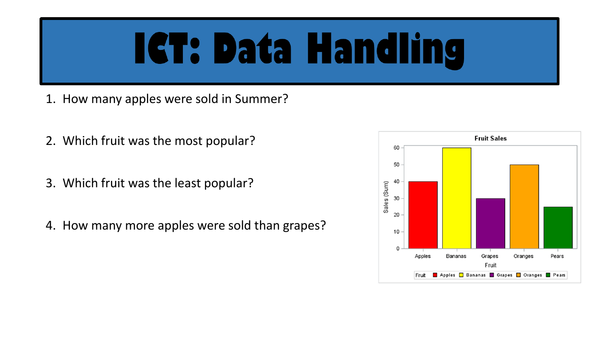### **IGT: Data Handling**

- 1. How many apples were sold in Summer?
- 2. Which fruit was the most popular?
- 3. Which fruit was the least popular?
- 4. How many more apples were sold than grapes?

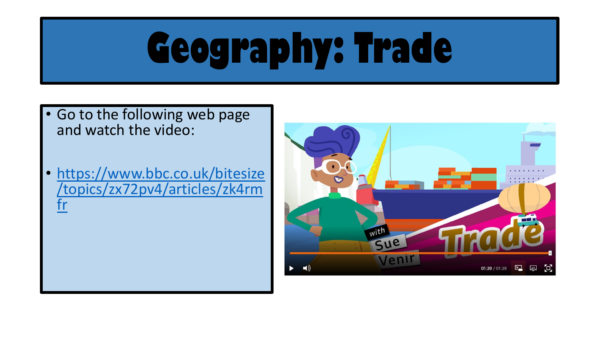## **Geography: Trade**

- Go to the following web page and watch the video:
- https://www.bbc.co.uk/bitesize [/topics/zx72pv4/articles/zk4rm](https://www.bbc.co.uk/bitesize/topics/zx72pv4/articles/zk4rmfr) fr

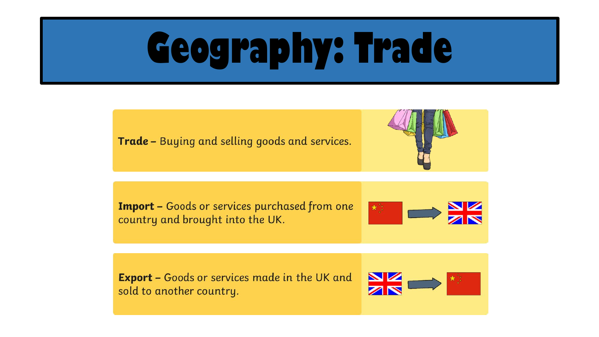### **Geography: Trade**

**Trade -** Buying and selling goods and services.



**Import - Goods or services purchased from one** country and brought into the UK.



**Export -** Goods or services made in the UK and sold to another country.

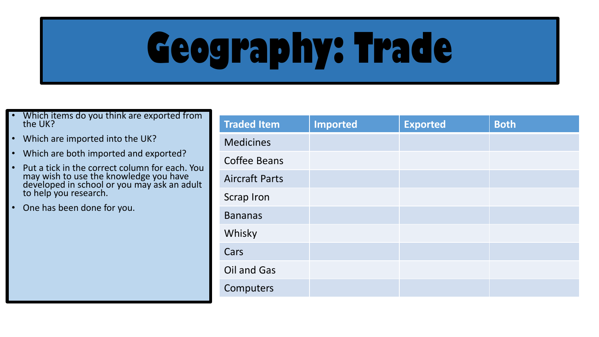## **Geography: Trade**

- Which items do you think are exported from the UK?
- Which are imported into the UK?
- Which are both imported and exported?
- Put a tick in the correct column for each. You may wish to use the knowledge you have developed in school or you may ask an adult to help you research.
- One has been done for you.

| <b>Traded Item</b>    | <b>Imported</b> | <b>Exported</b> | <b>Both</b> |
|-----------------------|-----------------|-----------------|-------------|
| <b>Medicines</b>      |                 |                 |             |
| <b>Coffee Beans</b>   |                 |                 |             |
| <b>Aircraft Parts</b> |                 |                 |             |
| <b>Scrap Iron</b>     |                 |                 |             |
| <b>Bananas</b>        |                 |                 |             |
| Whisky                |                 |                 |             |
| Cars                  |                 |                 |             |
| Oil and Gas           |                 |                 |             |
| Computers             |                 |                 |             |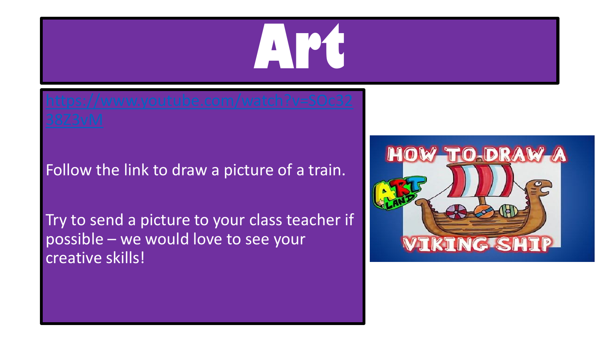

### Follow the link to draw a picture of a train.

Try to send a picture to your class teacher if possible – we would love to see your creative skills!